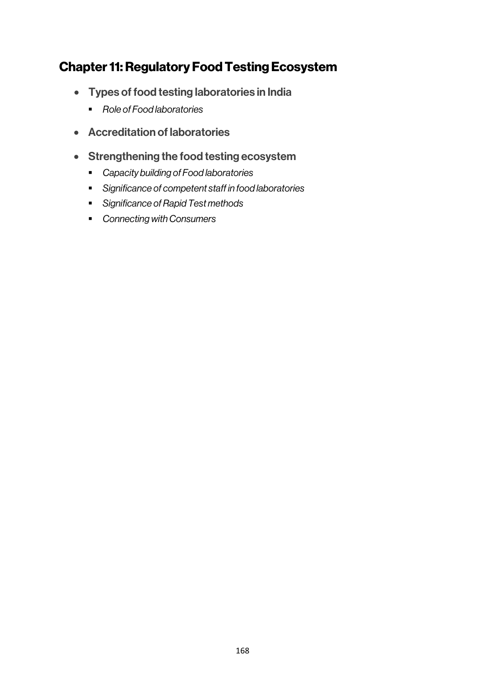# Chapter 11: Regulatory Food Testing Ecosystem

- Types of food testing laboratories in India
	- § *Role of Food laboratories*
- Accreditation of laboratories
- Strengthening the food testing ecosystem
	- § *Capacity building of Food laboratories*
	- § *Significance of competent staff in food laboratories*
	- § *Significance of Rapid Test methods*
	- § *Connecting with Consumers*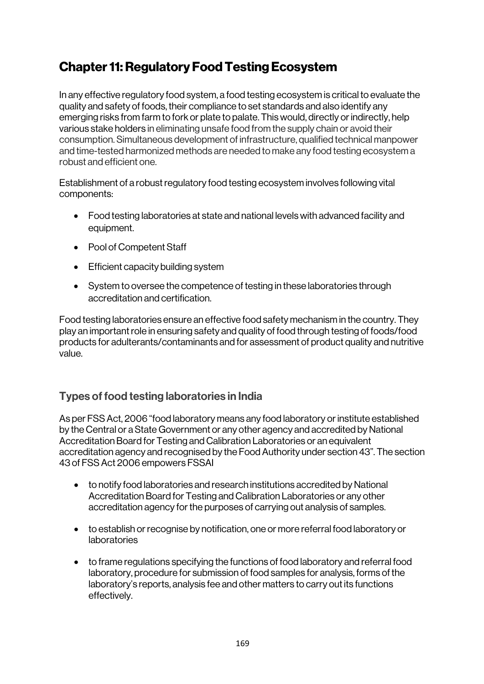# Chapter 11: Regulatory Food Testing Ecosystem

In any effective regulatory food system, a food testing ecosystem is critical to evaluate the quality and safety of foods, their compliance to set standards and also identify any emerging risks from farm to fork or plate to palate. This would, directly or indirectly, help various stake holders in eliminating unsafe food from the supply chain or avoid their consumption. Simultaneous development of infrastructure, qualified technical manpower and time-tested harmonized methods are needed to make any food testing ecosystem a robust and efficient one.

Establishment of a robust regulatory food testing ecosystem involves following vital components:

- Food testing laboratories at state and national levels with advanced facility and equipment.
- Pool of Competent Staff
- Efficient capacity building system
- System to oversee the competence of testing in these laboratories through accreditation and certification.

Food testing laboratories ensure an effective food safety mechanism in the country. They play an important role in ensuring safety and quality of food through testing of foods/food products for adulterants/contaminants and for assessment of product quality and nutritive value.

## Types of food testing laboratories in India

As per FSS Act, 2006 "food laboratory means any food laboratory or institute established by the Central or a State Government or any other agency and accredited by National Accreditation Board for Testing and Calibration Laboratories or an equivalent accreditation agency and recognised by the Food Authority under section 43". The section 43 of FSS Act 2006 empowers FSSAI

- to notify food laboratories and research institutions accredited by National Accreditation Board for Testing and Calibration Laboratories or any other accreditation agency for the purposes of carrying out analysis of samples.
- to establish or recognise by notification, one or more referral food laboratory or laboratories
- to frame regulations specifying the functions of food laboratory and referral food laboratory, procedure for submission of food samples for analysis, forms of the laboratory's reports, analysis fee and other matters to carry out its functions effectively.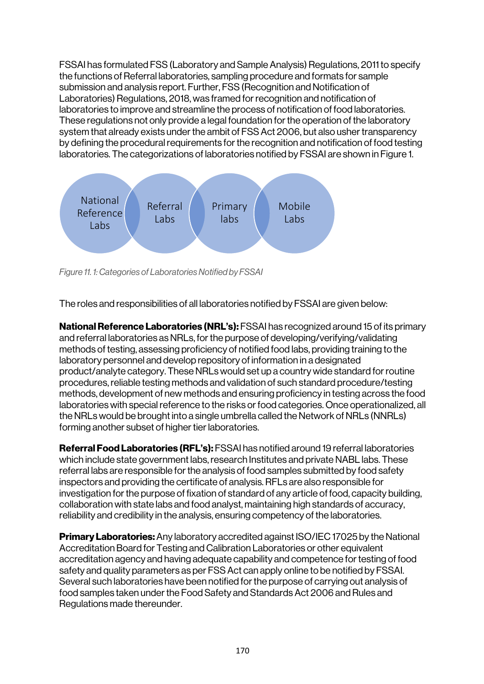FSSAI has formulated FSS (Laboratory and Sample Analysis) Regulations, 2011 to specify the functions of Referral laboratories, sampling procedure and formats for sample submission and analysis report. Further, FSS (Recognition and Notification of Laboratories) Regulations, 2018, was framed for recognition and notification of laboratories to improve and streamline the process of notification of food laboratories. These regulations not only provide a legal foundation for the operation of the laboratory system that already exists under the ambit of FSS Act 2006, but also usher transparency by defining the procedural requirements for the recognition and notification of food testing laboratories. The categorizations of laboratories notified by FSSAI are shown in Figure 1.



*Figure 11. 1: Categories of Laboratories Notified by FSSAI*

The roles and responsibilities of all laboratories notified by FSSAI are given below:

National Reference Laboratories (NRL's): FSSAI has recognized around 15 of its primary and referral laboratories as NRLs, for the purpose of developing/verifying/validating methods of testing, assessing proficiency of notified food labs, providing training to the laboratory personnel and develop repository of information in a designated product/analyte category. These NRLs would set up a country wide standard for routine procedures, reliable testing methods and validation of such standard procedure/testing methods, development of new methods and ensuring proficiency in testing across the food laboratories with special reference to the risks or food categories. Once operationalized, all the NRLs would be brought into a single umbrella called the Network of NRLs (NNRLs) forming another subset of higher tier laboratories.

Referral Food Laboratories (RFL's): FSSAI has notified around 19 referral laboratories which include state government labs, research Institutes and private NABL labs. These referral labs are responsible for the analysis of food samples submitted by food safety inspectors and providing the certificate of analysis. RFLs are also responsible for investigation for the purpose of fixation of standard of any article of food, capacity building, collaboration with state labs and food analyst, maintaining high standards of accuracy, reliability and credibility in the analysis, ensuring competency of the laboratories.

**Primary Laboratories:** Any laboratory accredited against ISO/IEC 17025 by the National Accreditation Board for Testing and Calibration Laboratories or other equivalent accreditation agency and having adequate capability and competence for testing of food safety and quality parameters as per FSS Act can apply online to be notified by FSSAI. Several such laboratories have been notified for the purpose of carrying out analysis of food samples taken under the Food Safety and Standards Act 2006 and Rules and Regulations made thereunder.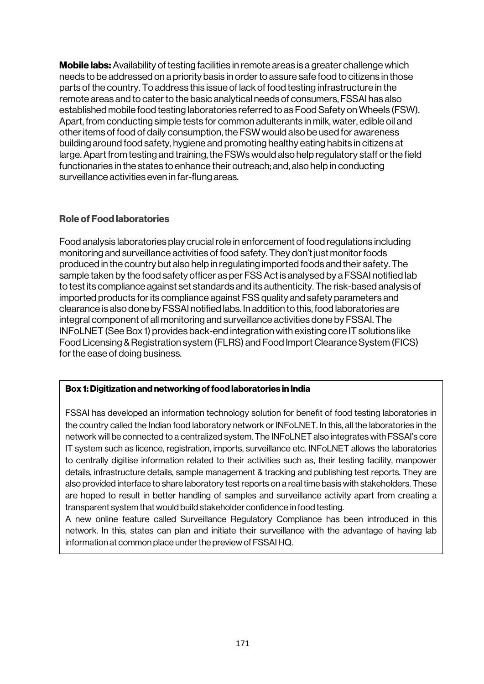**Mobile labs:** Availability of testing facilities in remote areas is a greater challenge which needs to be addressed on a priority basis in order to assure safe food to citizens in those parts of the country. To address this issue of lack of food testing infrastructure in the remote areas and to cater to the basic analytical needs of consumers, FSSAI has also established mobile food testing laboratories referred to as Food Safety on Wheels (FSW). Apart, from conducting simple tests for common adulterants in milk, water, edible oil and other items of food of daily consumption, the FSW would also be used for awareness building around food safety, hygiene and promoting healthy eating habits in citizens at large. Apart from testing and training, the FSWs would also help regulatory staff or the field functionaries in the states to enhance their outreach; and, also help in conducting surveillance activities even in far-flung areas.

#### Role of Food laboratories

Food analysis laboratories play crucial role in enforcement of food regulations including monitoring and surveillance activities of food safety. They don't just monitor foods produced in the country but also help in regulating imported foods and their safety. The sample taken by the food safety officer as per FSS Act is analysed by a FSSAI notified lab to test its compliance against set standards and its authenticity. The risk-based analysis of imported products for its compliance against FSS quality and safety parameters and clearance is also done by FSSAI notified labs. In addition to this, food laboratories are integral component of all monitoring and surveillance activities done by FSSAI. The INFoLNET (See Box 1) provides back-end integration with existing core IT solutions like Food Licensing & Registration system (FLRS) and Food Import Clearance System (FICS) for the ease of doing business.

#### Box 1: Digitization and networking of food laboratories in India

FSSAI has developed an information technology solution for benefit of food testing laboratories in the country called the Indian food laboratory network or INFoLNET. In this, all the laboratories in the network will be connected to a centralized system. The INFoLNET also integrates with FSSAI's core IT system such as licence, registration, imports, surveillance etc. INFoLNET allows the laboratories to centrally digitise information related to their activities such as, their testing facility, manpower details, infrastructure details, sample management & tracking and publishing test reports. They are also provided interface to share laboratory test reports on a real time basis with stakeholders. These are hoped to result in better handling of samples and surveillance activity apart from creating a transparent system that would build stakeholder confidence in food testing.

A new online feature called Surveillance Regulatory Compliance has been introduced in this network. In this, states can plan and initiate their surveillance with the advantage of having lab information at common place under the preview of FSSAI HQ.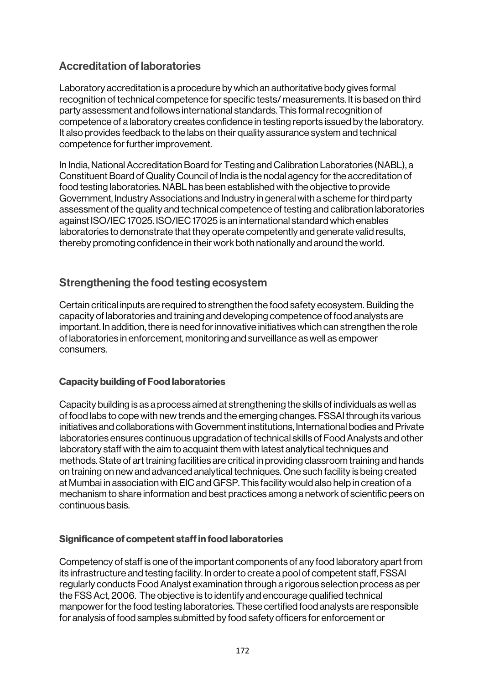## Accreditation of laboratories

Laboratory accreditation is a procedure by which an authoritative body gives formal recognition of technical competence for specific tests/ measurements. It is based on third party assessment and follows international standards. This formal recognition of competence of a laboratory creates confidence in testing reports issued by the laboratory. It also provides feedback to the labs on their quality assurance system and technical competence for further improvement.

In India, National Accreditation Board for Testing and Calibration Laboratories (NABL), a Constituent Board of Quality Council of India is the nodal agency for the accreditation of food testing laboratories. NABL has been established with the objective to provide Government, Industry Associations and Industry in general with a scheme for third party assessment of the quality and technical competence of testing and calibration laboratories against ISO/IEC 17025. ISO/IEC 17025 is an international standard which enables laboratories to demonstrate that they operate competently and generate valid results, thereby promoting confidence in their work both nationally and around the world.

## Strengthening the food testing ecosystem

Certain critical inputs are required to strengthen the food safety ecosystem. Building the capacity of laboratories and training and developing competence of food analysts are important. In addition, there is need for innovative initiatives which can strengthen the role of laboratories in enforcement, monitoring and surveillance as well as empower consumers.

### Capacity building of Food laboratories

Capacity building is as a process aimed at strengthening the skills of individuals as well as of food labs to cope with new trends and the emerging changes. FSSAI through its various initiatives and collaborations with Government institutions, International bodies and Private laboratories ensures continuous upgradation of technical skills of Food Analysts and other laboratory staff with the aim to acquaint them with latest analytical techniques and methods. State of art training facilities are critical in providing classroom training and hands on training on new and advanced analytical techniques. One such facility is being created at Mumbai in association with EIC and GFSP. This facility would also help in creation of a mechanism to share information and best practices among a network of scientific peers on continuous basis.

### Significance of competent staff in food laboratories

Competency of staff is one of the important components of any food laboratory apart from its infrastructure and testing facility. In order to create a pool of competent staff, FSSAI regularly conducts Food Analyst examination through a rigorous selection process as per the FSS Act, 2006. The objective is to identify and encourage qualified technical manpower for the food testing laboratories. These certified food analysts are responsible for analysis of food samples submitted by food safety officers for enforcement or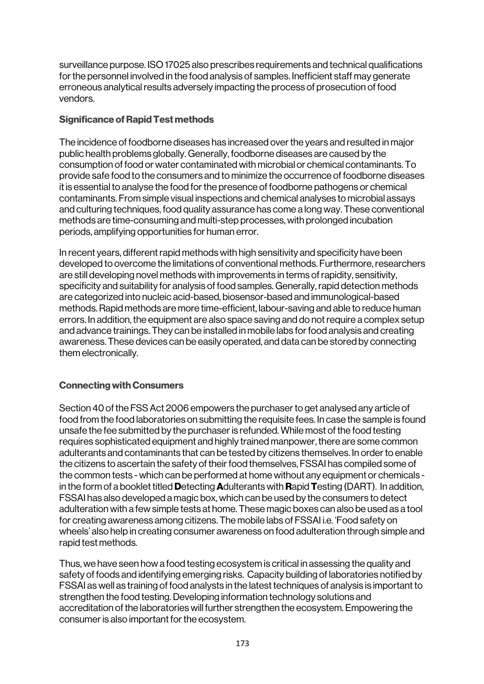surveillance purpose. ISO 17025 also prescribes requirements and technical qualifications for the personnel involved in the food analysis of samples. Inefficient staff may generate erroneous analytical results adversely impacting the process of prosecution of food vendors.

#### Significance of Rapid Test methods

The incidence of foodborne diseases has increased over the years and resulted in major public health problems globally. Generally, foodborne diseases are caused by the consumption of food or water contaminated with microbial or chemical contaminants. To provide safe food to the consumers and to minimize the occurrence of foodborne diseases it is essential to analyse the food for the presence of foodborne pathogens or chemical contaminants. From simple visual inspections and chemical analyses to microbial assays and culturing techniques, food quality assurance has come a long way. These conventional methods are time-consuming and multi-step processes, with prolonged incubation periods, amplifying opportunities for human error.

In recent years, different rapid methods with high sensitivity and specificity have been developed to overcome the limitations of conventional methods. Furthermore, researchers are still developing novel methods with improvements in terms of rapidity, sensitivity, specificity and suitability for analysis of food samples. Generally, rapid detection methods are categorized into nucleic acid-based, biosensor-based and immunological-based methods. Rapid methods are more time-efficient, labour-saving and able to reduce human errors. In addition, the equipment are also space saving and do not require a complex setup and advance trainings. They can be installed in mobile labs for food analysis and creating awareness. These devices can be easily operated, and data can be stored by connecting them electronically.

### Connecting with Consumers

Section 40 of the FSS Act 2006 empowers the purchaser to get analysed any article of food from the food laboratories on submitting the requisite fees. In case the sample is found unsafe the fee submitted by the purchaser is refunded. While most of the food testing requires sophisticated equipment and highly trained manpower, there are some common adulterants and contaminants that can be tested by citizens themselves. In order to enable the citizens to ascertain the safety of their food themselves, FSSAI has compiled some of the common tests - which can be performed at home without any equipment or chemicals in the form of a booklet titled Detecting Adulterants with Rapid Testing (DART). In addition, FSSAI has also developed a magic box, which can be used by the consumers to detect adulteration with a few simple tests at home. These magic boxes can also be used as a tool for creating awareness among citizens. The mobile labs of FSSAI i.e. 'Food safety on wheels' also help in creating consumer awareness on food adulteration through simple and rapid test methods.

Thus, we have seen how a food testing ecosystem is critical in assessing the quality and safety of foods and identifying emerging risks. Capacity building of laboratories notified by FSSAI as well as training of food analysts in the latest techniques of analysis is important to strengthen the food testing. Developing information technology solutions and accreditation of the laboratories will further strengthen the ecosystem. Empowering the consumer is also important for the ecosystem.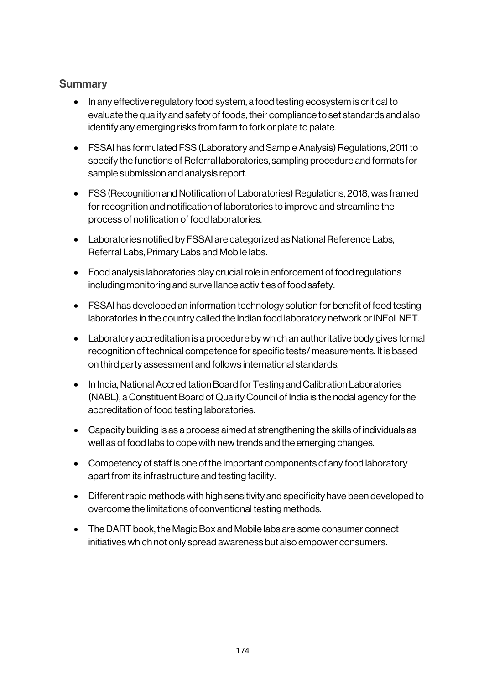## **Summary**

- In any effective regulatory food system, a food testing ecosystem is critical to evaluate the quality and safety of foods, their compliance to set standards and also identify any emerging risks from farm to fork or plate to palate.
- FSSAI has formulated FSS (Laboratory and Sample Analysis) Regulations, 2011 to specify the functions of Referral laboratories, sampling procedure and formats for sample submission and analysis report.
- FSS (Recognition and Notification of Laboratories) Regulations, 2018, was framed for recognition and notification of laboratories to improve and streamline the process of notification of food laboratories.
- Laboratories notified by FSSAI are categorized as National Reference Labs, Referral Labs, Primary Labs and Mobile labs.
- Food analysis laboratories play crucial role in enforcement of food regulations including monitoring and surveillance activities of food safety.
- FSSAI has developed an information technology solution for benefit of food testing laboratories in the country called the Indian food laboratory network or INFoLNET.
- Laboratory accreditation is a procedure by which an authoritative body gives formal recognition of technical competence for specific tests/ measurements. It is based on third party assessment and follows international standards.
- In India, National Accreditation Board for Testing and Calibration Laboratories (NABL), a Constituent Board of Quality Council of India is the nodal agency for the accreditation of food testing laboratories.
- Capacity building is as a process aimed at strengthening the skills of individuals as well as of food labs to cope with new trends and the emerging changes.
- Competency of staff is one of the important components of any food laboratory apart from its infrastructure and testing facility.
- Different rapid methods with high sensitivity and specificity have been developed to overcome the limitations of conventional testing methods.
- The DART book, the Magic Box and Mobile labs are some consumer connect initiatives which not only spread awareness but also empower consumers.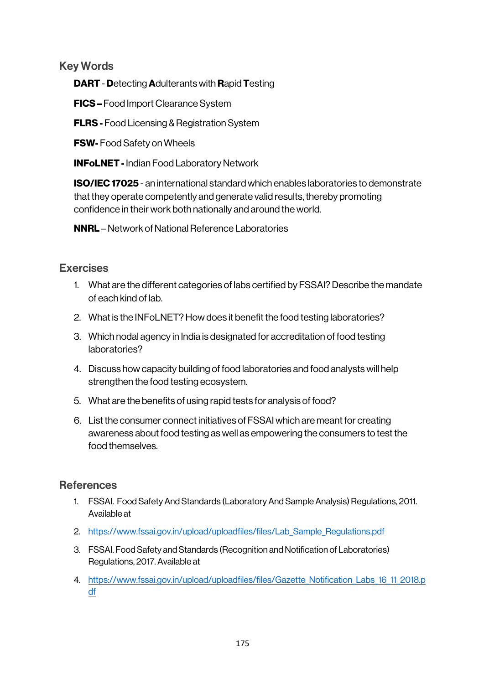Key Words

DART - Detecting Adulterants with Rapid Testing

FICS – Food Import Clearance System

**FLRS** - Food Licensing & Registration System

FSW- Food Safety on Wheels

**INFoLNET - Indian Food Laboratory Network** 

ISO/IEC 17025 - an international standard which enables laboratories to demonstrate that they operate competently and generate valid results, thereby promoting confidence in their work both nationally and around the world.

NNRL –Network of National Reference Laboratories

## **Exercises**

- 1. What are the different categories of labs certified by FSSAI? Describe the mandate of each kind of lab.
- 2. What is the INFoLNET? How does it benefit the food testing laboratories?
- 3. Which nodal agency in India is designated for accreditation of food testing laboratories?
- 4. Discuss how capacity building of food laboratories and food analysts will help strengthen the food testing ecosystem.
- 5. What are the benefits of using rapid tests for analysis of food?
- 6. List the consumer connect initiatives of FSSAI which are meant for creating awareness about food testing as well as empowering the consumers to test the food themselves.

## **References**

- 1. FSSAI. Food Safety And Standards (Laboratory And Sample Analysis) Regulations, 2011. Available at
- 2. https://www.fssai.gov.in/upload/uploadfiles/files/Lab Sample Regulations.pdf
- 3. FSSAI. Food Safety and Standards (Recognition and Notification of Laboratories) Regulations, 2017. Available at
- 4. https://www.fssai.gov.in/upload/uploadfiles/files/Gazette Notification Labs 16 11 2018.p df